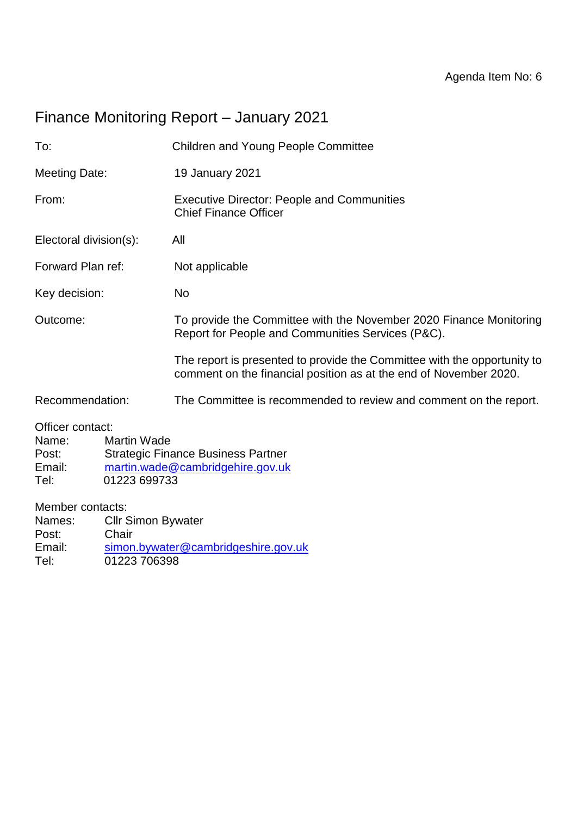# Finance Monitoring Report – January 2021

| To:                                                                                        |                           | <b>Children and Young People Committee</b>                                                                                                    |  |  |  |  |
|--------------------------------------------------------------------------------------------|---------------------------|-----------------------------------------------------------------------------------------------------------------------------------------------|--|--|--|--|
| <b>Meeting Date:</b>                                                                       |                           | 19 January 2021                                                                                                                               |  |  |  |  |
| From:                                                                                      |                           | <b>Executive Director: People and Communities</b><br><b>Chief Finance Officer</b>                                                             |  |  |  |  |
| Electoral division(s):                                                                     |                           | All                                                                                                                                           |  |  |  |  |
| Forward Plan ref:                                                                          |                           | Not applicable                                                                                                                                |  |  |  |  |
| Key decision:                                                                              |                           | No                                                                                                                                            |  |  |  |  |
| Outcome:                                                                                   |                           | To provide the Committee with the November 2020 Finance Monitoring<br>Report for People and Communities Services (P&C).                       |  |  |  |  |
|                                                                                            |                           | The report is presented to provide the Committee with the opportunity to<br>comment on the financial position as at the end of November 2020. |  |  |  |  |
| Recommendation:                                                                            |                           | The Committee is recommended to review and comment on the report.                                                                             |  |  |  |  |
| Officer contact:<br><b>Martin Wade</b><br>Name:<br>Post:<br>Email:<br>01223 699733<br>Tel: |                           | <b>Strategic Finance Business Partner</b><br>martin.wade@cambridgehire.gov.uk                                                                 |  |  |  |  |
| Member contacts:                                                                           |                           |                                                                                                                                               |  |  |  |  |
| Names:                                                                                     | <b>Cllr Simon Bywater</b> |                                                                                                                                               |  |  |  |  |
| Post:                                                                                      | Chair                     |                                                                                                                                               |  |  |  |  |
| Email:<br>simon.bywater@cambridgeshire.gov.uk                                              |                           |                                                                                                                                               |  |  |  |  |

Tel: 01223 706398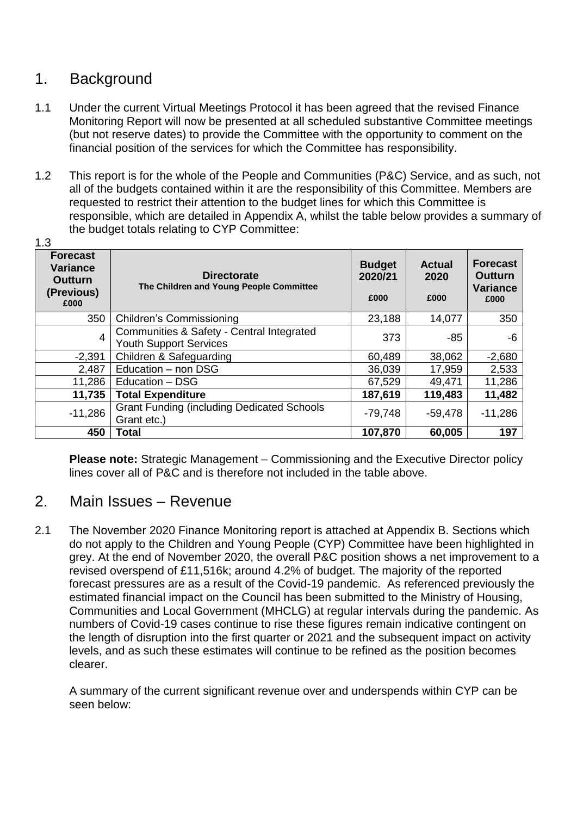### 1. Background

- 1.1 Under the current Virtual Meetings Protocol it has been agreed that the revised Finance Monitoring Report will now be presented at all scheduled substantive Committee meetings (but not reserve dates) to provide the Committee with the opportunity to comment on the financial position of the services for which the Committee has responsibility.
- 1.2 This report is for the whole of the People and Communities (P&C) Service, and as such, not all of the budgets contained within it are the responsibility of this Committee. Members are requested to restrict their attention to the budget lines for which this Committee is responsible, which are detailed in Appendix A, whilst the table below provides a summary of the budget totals relating to CYP Committee:  $1.3$

| <b>Forecast</b><br><b>Variance</b><br><b>Outturn</b><br>(Previous)<br>£000 | <b>Directorate</b><br>The Children and Young People Committee              | <b>Budget</b><br>2020/21<br>£000 | <b>Actual</b><br>2020<br>£000 | <b>Forecast</b><br><b>Outturn</b><br><b>Variance</b><br>£000 |
|----------------------------------------------------------------------------|----------------------------------------------------------------------------|----------------------------------|-------------------------------|--------------------------------------------------------------|
| 350                                                                        | <b>Children's Commissioning</b>                                            | 23,188                           | 14,077                        | 350                                                          |
| 4                                                                          | Communities & Safety - Central Integrated<br><b>Youth Support Services</b> | 373                              | $-85$                         | -6                                                           |
| $-2,391$                                                                   | Children & Safeguarding                                                    | 60,489                           | 38,062                        | $-2,680$                                                     |
| 2,487                                                                      | Education - non DSG                                                        | 36,039                           | 17,959                        | 2,533                                                        |
| 11,286                                                                     | Education - DSG                                                            | 67,529                           | 49,471                        | 11,286                                                       |
| 11,735                                                                     | <b>Total Expenditure</b>                                                   | 187,619                          | 119,483                       | 11,482                                                       |
| $-11,286$                                                                  | <b>Grant Funding (including Dedicated Schools</b><br>Grant etc.)           | $-79,748$                        | $-59,478$                     | $-11,286$                                                    |
| 450                                                                        | Total                                                                      | 107,870                          | 60,005                        | 197                                                          |

**Please note:** Strategic Management – Commissioning and the Executive Director policy lines cover all of P&C and is therefore not included in the table above.

#### 2. Main Issues – Revenue

2.1 The November 2020 Finance Monitoring report is attached at Appendix B. Sections which do not apply to the Children and Young People (CYP) Committee have been highlighted in grey. At the end of November 2020, the overall P&C position shows a net improvement to a revised overspend of £11,516k; around 4.2% of budget. The majority of the reported forecast pressures are as a result of the Covid-19 pandemic. As referenced previously the estimated financial impact on the Council has been submitted to the Ministry of Housing, Communities and Local Government (MHCLG) at regular intervals during the pandemic. As numbers of Covid-19 cases continue to rise these figures remain indicative contingent on the length of disruption into the first quarter or 2021 and the subsequent impact on activity levels, and as such these estimates will continue to be refined as the position becomes clearer.

A summary of the current significant revenue over and underspends within CYP can be seen below: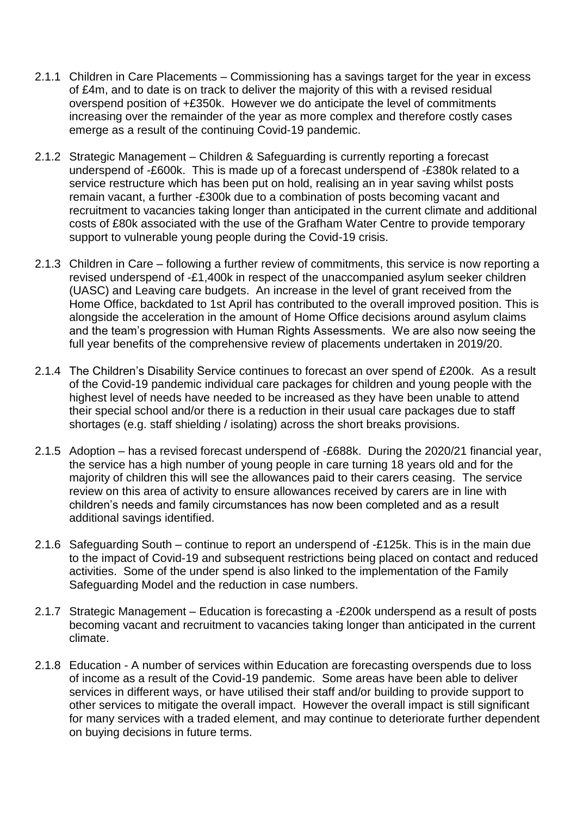- 2.1.1 Children in Care Placements Commissioning has a savings target for the year in excess of £4m, and to date is on track to deliver the majority of this with a revised residual overspend position of +£350k. However we do anticipate the level of commitments increasing over the remainder of the year as more complex and therefore costly cases emerge as a result of the continuing Covid-19 pandemic.
- 2.1.2 Strategic Management Children & Safeguarding is currently reporting a forecast underspend of -£600k. This is made up of a forecast underspend of -£380k related to a service restructure which has been put on hold, realising an in year saving whilst posts remain vacant, a further -£300k due to a combination of posts becoming vacant and recruitment to vacancies taking longer than anticipated in the current climate and additional costs of £80k associated with the use of the Grafham Water Centre to provide temporary support to vulnerable young people during the Covid-19 crisis.
- 2.1.3 Children in Care following a further review of commitments, this service is now reporting a revised underspend of -£1,400k in respect of the unaccompanied asylum seeker children (UASC) and Leaving care budgets. An increase in the level of grant received from the Home Office, backdated to 1st April has contributed to the overall improved position. This is alongside the acceleration in the amount of Home Office decisions around asylum claims and the team's progression with Human Rights Assessments. We are also now seeing the full year benefits of the comprehensive review of placements undertaken in 2019/20.
- 2.1.4 The Children's Disability Service continues to forecast an over spend of £200k. As a result of the Covid-19 pandemic individual care packages for children and young people with the highest level of needs have needed to be increased as they have been unable to attend their special school and/or there is a reduction in their usual care packages due to staff shortages (e.g. staff shielding / isolating) across the short breaks provisions.
- 2.1.5 Adoption has a revised forecast underspend of -£688k. During the 2020/21 financial year, the service has a high number of young people in care turning 18 years old and for the majority of children this will see the allowances paid to their carers ceasing. The service review on this area of activity to ensure allowances received by carers are in line with children's needs and family circumstances has now been completed and as a result additional savings identified.
- 2.1.6 Safeguarding South continue to report an underspend of -£125k. This is in the main due to the impact of Covid-19 and subsequent restrictions being placed on contact and reduced activities. Some of the under spend is also linked to the implementation of the Family Safeguarding Model and the reduction in case numbers.
- 2.1.7 Strategic Management Education is forecasting a -£200k underspend as a result of posts becoming vacant and recruitment to vacancies taking longer than anticipated in the current climate.
- 2.1.8 Education A number of services within Education are forecasting overspends due to loss of income as a result of the Covid-19 pandemic. Some areas have been able to deliver services in different ways, or have utilised their staff and/or building to provide support to other services to mitigate the overall impact. However the overall impact is still significant for many services with a traded element, and may continue to deteriorate further dependent on buying decisions in future terms.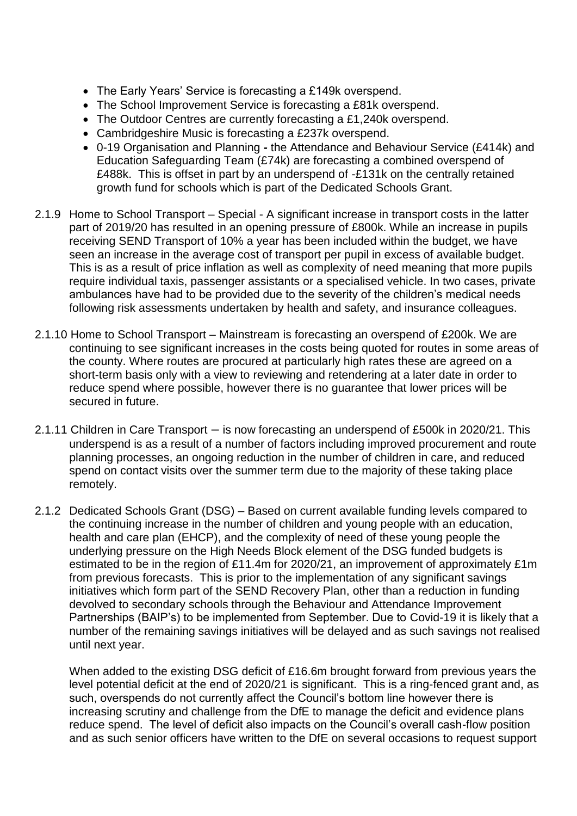- The Early Years' Service is forecasting a £149k overspend.
- The School Improvement Service is forecasting a £81k overspend.
- The Outdoor Centres are currently forecasting a £1,240k overspend.
- Cambridgeshire Music is forecasting a £237k overspend.
- 0-19 Organisation and Planning *-* the Attendance and Behaviour Service (£414k) and Education Safeguarding Team (£74k) are forecasting a combined overspend of £488k. This is offset in part by an underspend of -£131k on the centrally retained growth fund for schools which is part of the Dedicated Schools Grant.
- 2.1.9 Home to School Transport Special A significant increase in transport costs in the latter part of 2019/20 has resulted in an opening pressure of £800k. While an increase in pupils receiving SEND Transport of 10% a year has been included within the budget, we have seen an increase in the average cost of transport per pupil in excess of available budget. This is as a result of price inflation as well as complexity of need meaning that more pupils require individual taxis, passenger assistants or a specialised vehicle. In two cases, private ambulances have had to be provided due to the severity of the children's medical needs following risk assessments undertaken by health and safety, and insurance colleagues.
- 2.1.10 Home to School Transport Mainstream is forecasting an overspend of £200k. We are continuing to see significant increases in the costs being quoted for routes in some areas of the county. Where routes are procured at particularly high rates these are agreed on a short-term basis only with a view to reviewing and retendering at a later date in order to reduce spend where possible, however there is no guarantee that lower prices will be secured in future.
- 2.1.11 Children in Care Transport is now forecasting an underspend of £500k in 2020/21. This underspend is as a result of a number of factors including improved procurement and route planning processes, an ongoing reduction in the number of children in care, and reduced spend on contact visits over the summer term due to the majority of these taking place remotely.
- 2.1.2 Dedicated Schools Grant (DSG) Based on current available funding levels compared to the continuing increase in the number of children and young people with an education, health and care plan (EHCP), and the complexity of need of these young people the underlying pressure on the High Needs Block element of the DSG funded budgets is estimated to be in the region of £11.4m for 2020/21, an improvement of approximately £1m from previous forecasts. This is prior to the implementation of any significant savings initiatives which form part of the SEND Recovery Plan, other than a reduction in funding devolved to secondary schools through the Behaviour and Attendance Improvement Partnerships (BAIP's) to be implemented from September. Due to Covid-19 it is likely that a number of the remaining savings initiatives will be delayed and as such savings not realised until next year.

When added to the existing DSG deficit of £16.6m brought forward from previous years the level potential deficit at the end of 2020/21 is significant. This is a ring-fenced grant and, as such, overspends do not currently affect the Council's bottom line however there is increasing scrutiny and challenge from the DfE to manage the deficit and evidence plans reduce spend. The level of deficit also impacts on the Council's overall cash-flow position and as such senior officers have written to the DfE on several occasions to request support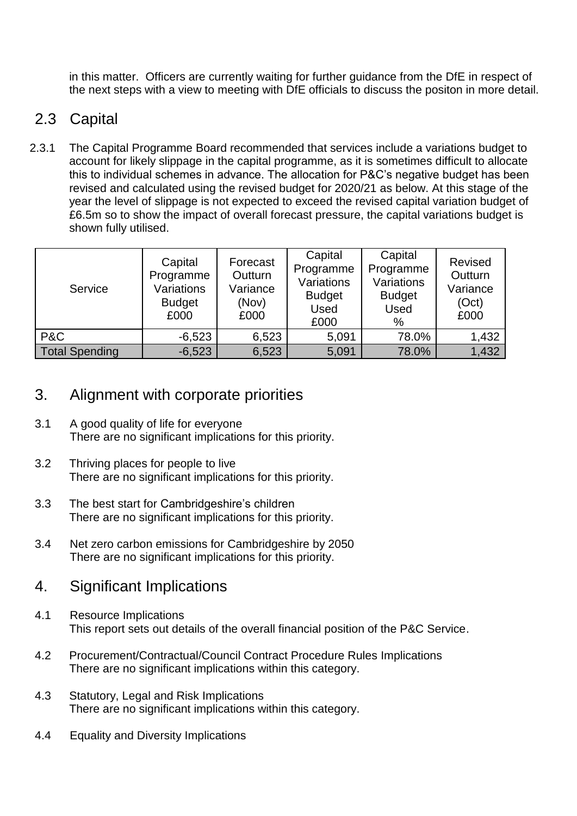in this matter. Officers are currently waiting for further guidance from the DfE in respect of the next steps with a view to meeting with DfE officials to discuss the positon in more detail.

## 2.3 Capital

2.3.1 The Capital Programme Board recommended that services include a variations budget to account for likely slippage in the capital programme, as it is sometimes difficult to allocate this to individual schemes in advance. The allocation for P&C's negative budget has been revised and calculated using the revised budget for 2020/21 as below. At this stage of the year the level of slippage is not expected to exceed the revised capital variation budget of £6.5m so to show the impact of overall forecast pressure, the capital variations budget is shown fully utilised.

| Service               | Capital<br>Programme<br>Variations<br><b>Budget</b><br>£000 | Forecast<br>Outturn<br>Variance<br>(Nov)<br>£000 | Capital<br>Programme<br>Variations<br><b>Budget</b><br>Used<br>£000 | Capital<br>Programme<br>Variations<br><b>Budget</b><br><b>Used</b><br>$\%$ | Revised<br>Outturn<br>Variance<br>(Oct)<br>£000 |
|-----------------------|-------------------------------------------------------------|--------------------------------------------------|---------------------------------------------------------------------|----------------------------------------------------------------------------|-------------------------------------------------|
| P&C                   | $-6,523$                                                    | 6,523                                            | 5,091                                                               | 78.0%                                                                      | 1,432                                           |
| <b>Total Spending</b> | $-6,523$                                                    | 6,523                                            | 5,091                                                               | 78.0%                                                                      | 1,432                                           |

### 3. Alignment with corporate priorities

- 3.1 A good quality of life for everyone There are no significant implications for this priority.
- 3.2 Thriving places for people to live There are no significant implications for this priority.
- 3.3 The best start for Cambridgeshire's children There are no significant implications for this priority.
- 3.4 Net zero carbon emissions for Cambridgeshire by 2050 There are no significant implications for this priority.

### 4. Significant Implications

- 4.1 Resource Implications This report sets out details of the overall financial position of the P&C Service.
- 4.2 Procurement/Contractual/Council Contract Procedure Rules Implications There are no significant implications within this category.
- 4.3 Statutory, Legal and Risk Implications There are no significant implications within this category.
- 4.4 Equality and Diversity Implications